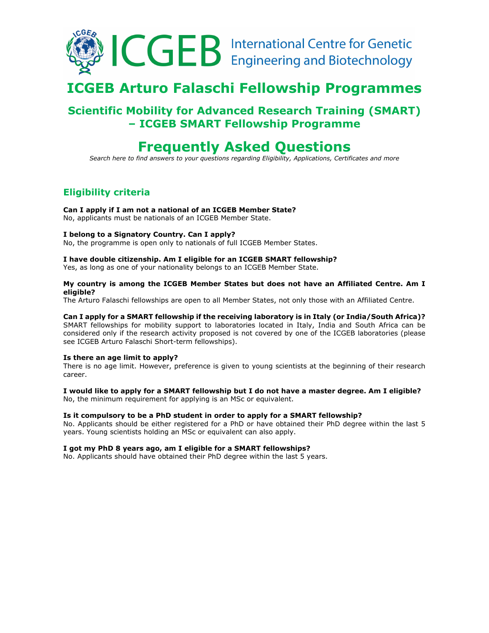

# **ICGEB Arturo Falaschi Fellowship Programmes**

# **Scientific Mobility for Advanced Research Training (SMART) – ICGEB SMART Fellowship Programme**

# **Frequently Asked Questions**

*Search here to find answers to your questions regarding Eligibility, Applications, Certificates and more* 

# **Eligibility criteria**

# **Can I apply if I am not a national of an ICGEB Member State?**

No, applicants must be nationals of an ICGEB Member State.

# **I belong to a Signatory Country. Can I apply?**

No, the programme is open only to nationals of full ICGEB Member States.

#### **I have double citizenship. Am I eligible for an ICGEB SMART fellowship?**

Yes, as long as one of your nationality belongs to an ICGEB Member State.

#### **My country is among the ICGEB Member States but does not have an Affiliated Centre. Am I eligible?**

The Arturo Falaschi fellowships are open to all Member States, not only those with an Affiliated Centre.

# **Can I apply for a SMART fellowship if the receiving laboratory is in Italy (or India/South Africa)?**

SMART fellowships for mobility support to laboratories located in Italy, India and South Africa can be considered only if the research activity proposed is not covered by one of the ICGEB laboratories (please see ICGEB Arturo Falaschi Short-term fellowships).

# **Is there an age limit to apply?**

There is no age limit. However, preference is given to young scientists at the beginning of their research career.

# **I would like to apply for a SMART fellowship but I do not have a master degree. Am I eligible?**

No, the minimum requirement for applying is an MSc or equivalent.

# **Is it compulsory to be a PhD student in order to apply for a SMART fellowship?**

No. Applicants should be either registered for a PhD or have obtained their PhD degree within the last 5 years. Young scientists holding an MSc or equivalent can also apply.

# **I got my PhD 8 years ago, am I eligible for a SMART fellowships?**

No. Applicants should have obtained their PhD degree within the last 5 years.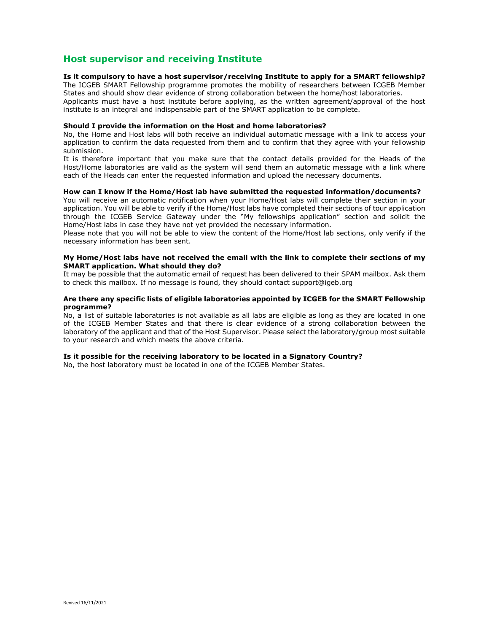# **Host supervisor and receiving Institute**

#### **Is it compulsory to have a host supervisor/receiving Institute to apply for a SMART fellowship?**

The ICGEB SMART Fellowship programme promotes the mobility of researchers between ICGEB Member States and should show clear evidence of strong collaboration between the home/host laboratories. Applicants must have a host institute before applying, as the written agreement/approval of the host institute is an integral and indispensable part of the SMART application to be complete.

#### **Should I provide the information on the Host and home laboratories?**

No, the Home and Host labs will both receive an individual automatic message with a link to access your application to confirm the data requested from them and to confirm that they agree with your fellowship submission.

It is therefore important that you make sure that the contact details provided for the Heads of the Host/Home laboratories are valid as the system will send them an automatic message with a link where each of the Heads can enter the requested information and upload the necessary documents.

#### **How can I know if the Home/Host lab have submitted the requested information/documents?**

You will receive an automatic notification when your Home/Host labs will complete their section in your application. You will be able to verify if the Home/Host labs have completed their sections of tour application through the ICGEB Service Gateway under the "My fellowships application" section and solicit the Home/Host labs in case they have not yet provided the necessary information.

Please note that you will not be able to view the content of the Home/Host lab sections, only verify if the necessary information has been sent.

#### **My Home/Host labs have not received the email with the link to complete their sections of my SMART application. What should they do?**

It may be possible that the automatic email of request has been delivered to their SPAM mailbox. Ask them to check this mailbox. If no message is found, they should contact support@igeb.org

#### **Are there any specific lists of eligible laboratories appointed by ICGEB for the SMART Fellowship programme?**

No, a list of suitable laboratories is not available as all labs are eligible as long as they are located in one of the ICGEB Member States and that there is clear evidence of a strong collaboration between the laboratory of the applicant and that of the Host Supervisor. Please select the laboratory/group most suitable to your research and which meets the above criteria.

#### **Is it possible for the receiving laboratory to be located in a Signatory Country?**

No, the host laboratory must be located in one of the ICGEB Member States.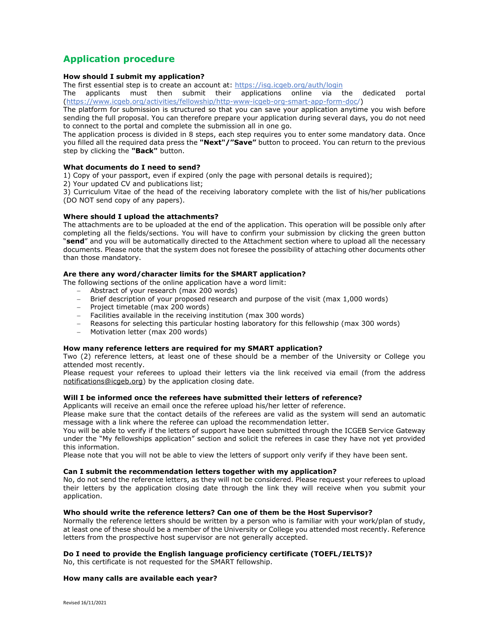# **Application procedure**

# **How should I submit my application?**

The first essential step is to create an account at: https://isg.icgeb.org/auth/login

The applicants must then submit their applications online via the dedicated portal (https://www.icgeb.org/activities/fellowship/http-www-icgeb-org-smart-app-form-doc/)

The platform for submission is structured so that you can save your application anytime you wish before sending the full proposal. You can therefore prepare your application during several days, you do not need to connect to the portal and complete the submission all in one go.

The application process is divided in 8 steps, each step requires you to enter some mandatory data. Once you filled all the required data press the **"Next"/"Save"** button to proceed. You can return to the previous step by clicking the **"Back"** button.

# **What documents do I need to send?**

1) Copy of your passport, even if expired (only the page with personal details is required);

2) Your updated CV and publications list;

3) Curriculum Vitae of the head of the receiving laboratory complete with the list of his/her publications (DO NOT send copy of any papers).

# **Where should I upload the attachments?**

The attachments are to be uploaded at the end of the application. This operation will be possible only after completing all the fields/sections. You will have to confirm your submission by clicking the green button "**send**" and you will be automatically directed to the Attachment section where to upload all the necessary documents. Please note that the system does not foresee the possibility of attaching other documents other than those mandatory.

# **Are there any word/character limits for the SMART application?**

The following sections of the online application have a word limit:

- Abstract of your research (max 200 words)
- Brief description of your proposed research and purpose of the visit (max 1,000 words)
- Project timetable (max 200 words)
- Facilities available in the receiving institution (max 300 words)
- Reasons for selecting this particular hosting laboratory for this fellowship (max 300 words)
- Motivation letter (max 200 words)

# **How many reference letters are required for my SMART application?**

Two (2) reference letters, at least one of these should be a member of the University or College you attended most recently.

Please request your referees to upload their letters via the link received via email (from the address notifications@icgeb.org) by the application closing date.

# **Will I be informed once the referees have submitted their letters of reference?**

Applicants will receive an email once the referee upload his/her letter of reference.

Please make sure that the contact details of the referees are valid as the system will send an automatic message with a link where the referee can upload the recommendation letter.

You will be able to verify if the letters of support have been submitted through the ICGEB Service Gateway under the "My fellowships application" section and solicit the referees in case they have not yet provided this information.

Please note that you will not be able to view the letters of support only verify if they have been sent.

#### **Can I submit the recommendation letters together with my application?**

No, do not send the reference letters, as they will not be considered. Please request your referees to upload their letters by the application closing date through the link they will receive when you submit your application.

# **Who should write the reference letters? Can one of them be the Host Supervisor?**

Normally the reference letters should be written by a person who is familiar with your work/plan of study, at least one of these should be a member of the University or College you attended most recently. Reference letters from the prospective host supervisor are not generally accepted.

# **Do I need to provide the English language proficiency certificate (TOEFL/IELTS)?**

No, this certificate is not requested for the SMART fellowship.

# **How many calls are available each year?**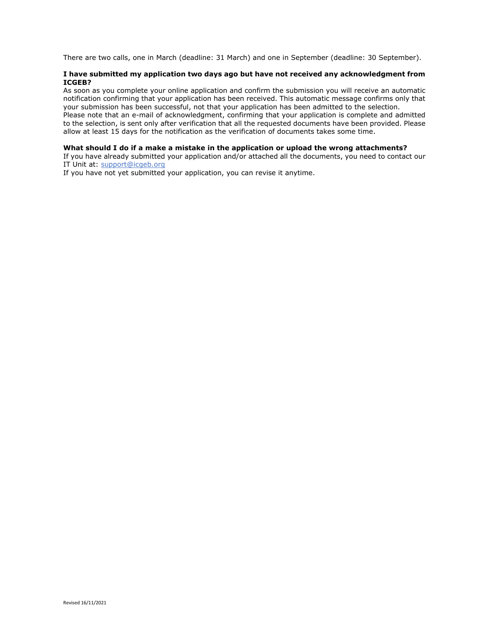There are two calls, one in March (deadline: 31 March) and one in September (deadline: 30 September).

## **I have submitted my application two days ago but have not received any acknowledgment from ICGEB?**

As soon as you complete your online application and confirm the submission you will receive an automatic notification confirming that your application has been received. This automatic message confirms only that your submission has been successful, not that your application has been admitted to the selection. Please note that an e-mail of acknowledgment, confirming that your application is complete and admitted to the selection, is sent only after verification that all the requested documents have been provided. Please allow at least 15 days for the notification as the verification of documents takes some time.

#### **What should I do if a make a mistake in the application or upload the wrong attachments?**

If you have already submitted your application and/or attached all the documents, you need to contact our IT Unit at: support@icgeb.org

If you have not yet submitted your application, you can revise it anytime.